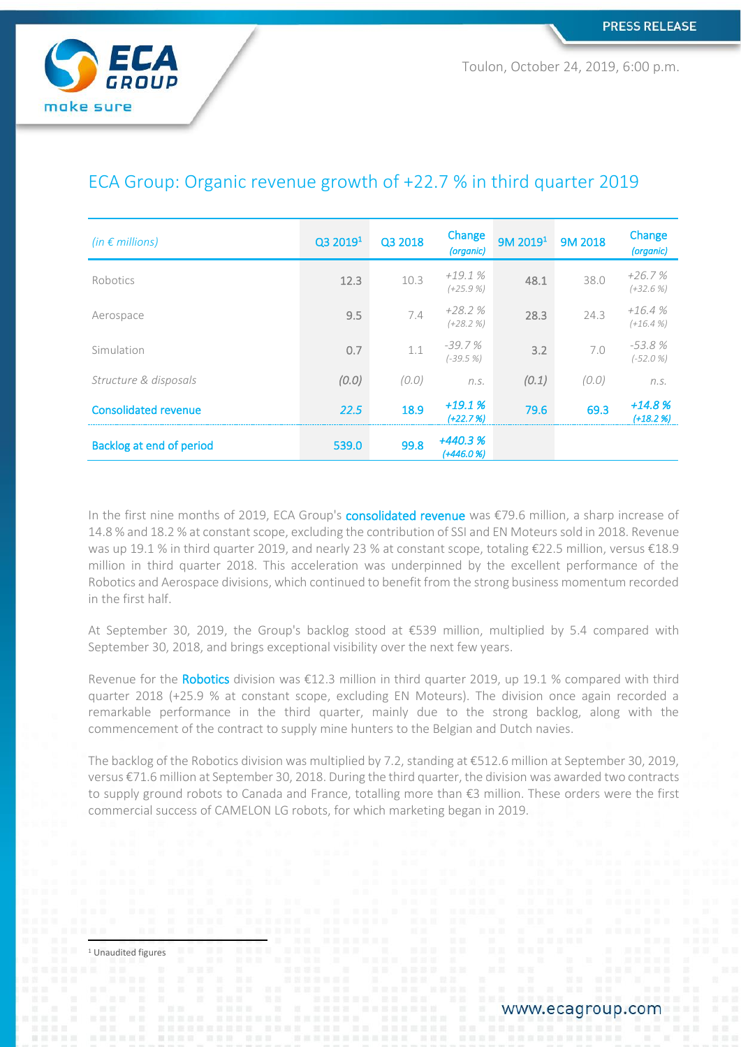

Toulon, October 24, 2019, 6:00 p.m.

| (in $\epsilon$ millions)        | Q3 2019 <sup>1</sup> | Q3 2018 | Change<br>(organic)      | 9M 2019 <sup>1</sup> | <b>9M 2018</b> | Change<br>(organic)    |
|---------------------------------|----------------------|---------|--------------------------|----------------------|----------------|------------------------|
| Robotics                        | 12.3                 | 10.3    | $+19.1%$<br>$(+25.9\%)$  | 48.1                 | 38.0           | $+26.7%$<br>$(+32.6%)$ |
| Aerospace                       | 9.5                  | 7.4     | $+28.2%$<br>$(+28.2%$    | 28.3                 | 24.3           | $+16.4%$<br>$(+16.4%$  |
| Simulation                      | 0.7                  | 1.1     | $-39.7%$<br>$(-39.5%$    | 3.2                  | 7.0            | $-53.8%$<br>$(-52.0%$  |
| Structure & disposals           | (0.0)                | (0.0)   | n.S.                     | (0.1)                | (0.0)          | n.S.                   |
| <b>Consolidated revenue</b>     | 22.5                 | 18.9    | $+19.1%$<br>$(+22.7%)$   | 79.6                 | 69.3           | $+14.8%$<br>$(+18.2%)$ |
| <b>Backlog at end of period</b> | 539.0                | 99.8    | $+440.3%$<br>$(+446.0%)$ |                      |                |                        |

# ECA Group: Organic revenue growth of +22.7 % in third quarter 2019

In the first nine months of 2019, ECA Group's **consolidated revenue** was €79.6 million, a sharp increase of 14.8 % and 18.2 % at constant scope, excluding the contribution of SSI and EN Moteurssold in 2018. Revenue was up 19.1 % in third quarter 2019, and nearly 23 % at constant scope, totaling €22.5 million, versus €18.9 million in third quarter 2018. This acceleration was underpinned by the excellent performance of the Robotics and Aerospace divisions, which continued to benefit from the strong business momentum recorded in the first half.

At September 30, 2019, the Group's backlog stood at €539 million, multiplied by 5.4 compared with September 30, 2018, and brings exceptional visibility over the next few years.

Revenue for the Robotics division was €12.3 million in third quarter 2019, up 19.1 % compared with third quarter 2018 (+25.9 % at constant scope, excluding EN Moteurs). The division once again recorded a remarkable performance in the third quarter, mainly due to the strong backlog, along with the commencement of the contract to supply mine hunters to the Belgian and Dutch navies.

The backlog of the Robotics division was multiplied by 7.2, standing at €512.6 million at September 30, 2019, versus €71.6 million at September 30, 2018. During the third quarter, the division was awarded two contracts to supply ground robots to Canada and France, totalling more than €3 million. These orders were the first commercial success of CAMELON LG robots, for which marketing began in 2019.

<sup>1</sup> Unaudited figures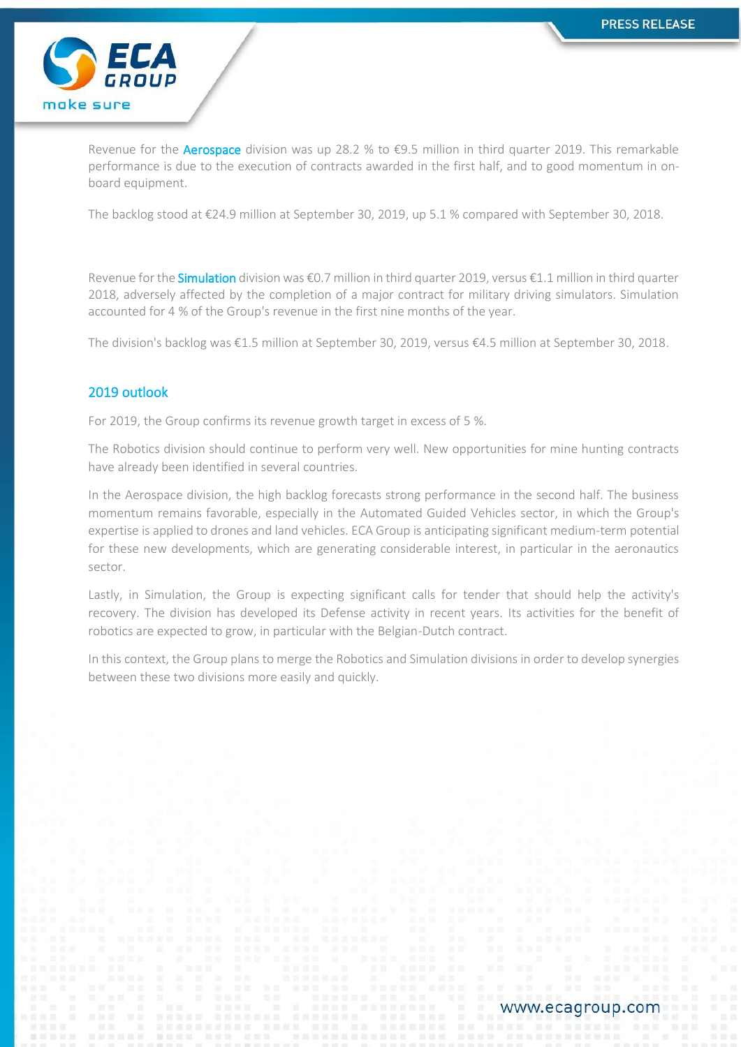

Revenue for the **Aerospace** division was up 28.2 % to  $\epsilon$ 9.5 million in third quarter 2019. This remarkable performance is due to the execution of contracts awarded in the first half, and to good momentum in onboard equipment.

The backlog stood at €24.9 million at September 30, 2019, up 5.1 % compared with September 30, 2018.

Revenue for the **Simulation** division was €0.7 million in third quarter 2019, versus €1.1 million in third quarter 2018, adversely affected by the completion of a major contract for military driving simulators. Simulation accounted for 4 % of the Group's revenue in the first nine months of the year.

The division's backlog was €1.5 million at September 30, 2019, versus €4.5 million at September 30, 2018.

### 2019 outlook

For 2019, the Group confirms its revenue growth target in excess of 5 %.

The Robotics division should continue to perform very well. New opportunities for mine hunting contracts have already been identified in several countries.

In the Aerospace division, the high backlog forecasts strong performance in the second half. The business momentum remains favorable, especially in the Automated Guided Vehicles sector, in which the Group's expertise is applied to drones and land vehicles. ECA Group is anticipating significant medium-term potential for these new developments, which are generating considerable interest, in particular in the aeronautics sector.

Lastly, in Simulation, the Group is expecting significant calls for tender that should help the activity's recovery. The division has developed its Defense activity in recent years. Its activities for the benefit of robotics are expected to grow, in particular with the Belgian-Dutch contract.

In this context, the Group plans to merge the Robotics and Simulation divisions in order to develop synergies between these two divisions more easily and quickly.

www.ecagroup.com